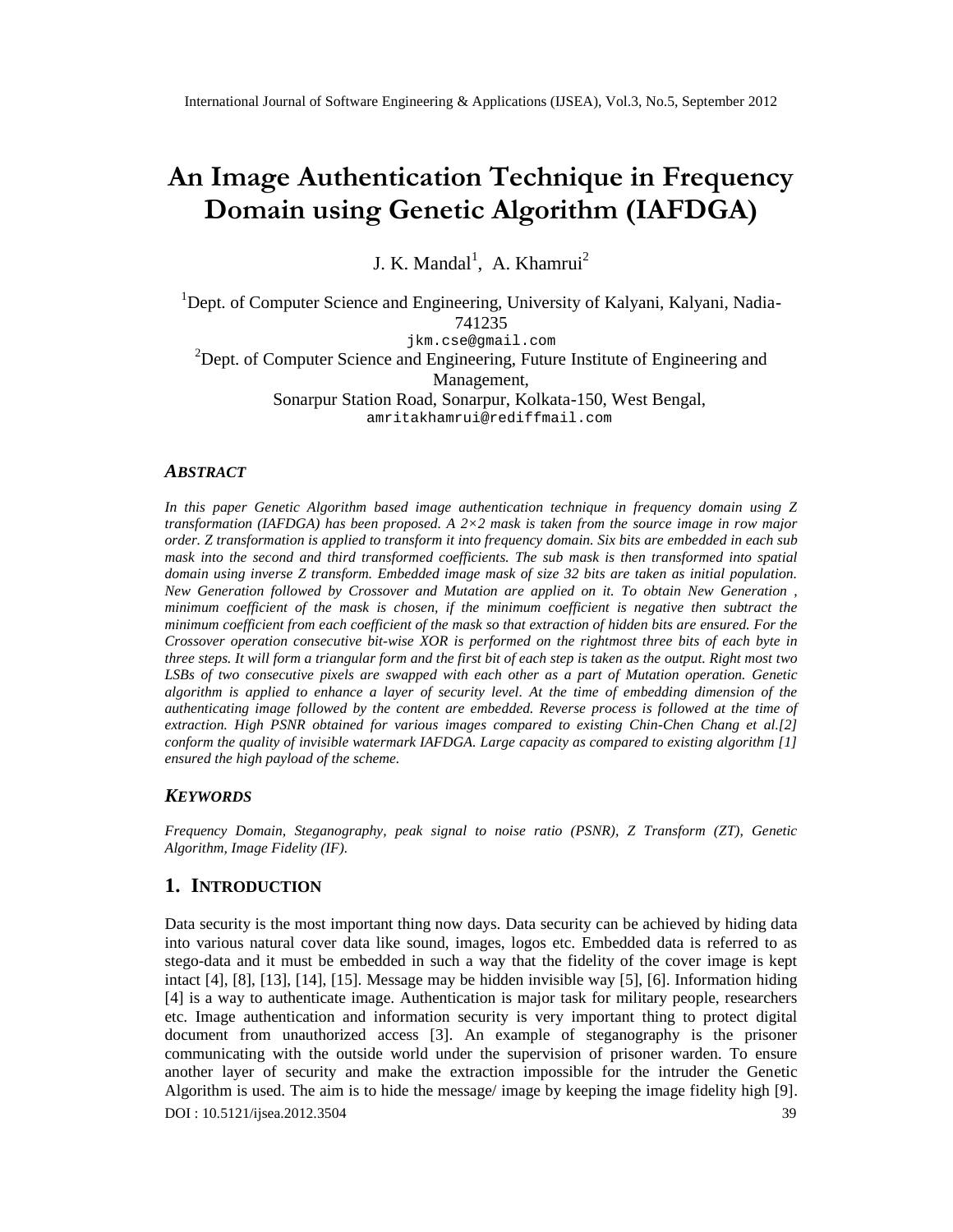# An Image Authentication Technique Domain using Genetic Algorithm (

J. K. Mandal, A. Khamrur

<sup>1</sup>Dept. of Computer Science and Engineering, University of Kalyani, Kalyani, Nadia - 741235 jkm.cse@g [mail.com](mailto:cse@gmail.com) <sup>2</sup>Dept. of Computer Science and Engineering, Future Institute of Engineering and Management, Sonarpur Station Road, Sonarpur, Kolkata, West Bengal, [amritakhamrui@rediffmail.com](mailto:amritakhamrui@rediffmail.com)

#### **ABSTRACT**

In this paper Genetic Algorithm based image authentication technique in frequency domain using Z transformation (IAFDGA) has been proposed2x2 mask is taken from the source image in row major order. Z transformation is applied to transform it into freque domain. Six bits are embedded in each sub mask into the second and third transformed coefficients. The sub mask is then transformed into spatial domain using inverse Z transform. Embedded image mask of size 32 bits are taken as initial population. New Generation followed by Crossover and Mutation are applied on otiobtain New Generation, minimum coefficient of the mask is chosen, if the minimum coefficient is negative then subtract the minimum coefficient from each coefficient of the mask so that that of hidden bits are ensured. For the Crossover operation consecutive-bilise XOR is performed on the rightmost three bits of each byte in three steps. It will form a triangular form and the first bit of each step is taken as the output. Right most LSBs of two consecutive pixels are swapped with each other as a part of Mutation operationic algorithm is applied to enhance a layer of security level. At the time of embedding dimension of the authenticating image followed by the content ane bedded. Reverse process is followed at the time of extraction. High PSNR obtained for various images compared to existing Chaing et al.[2] conform the quality of invisible watermark IAFDGA. Large capacity as compared to existing algorithm [1] ensured the high payload of the scheme.

#### **KEYWORDS**

Frequency Domain, Steganography, peak signal to noise ratio (PSNR), Z Transform (ZT), Genetic Algorithm, Image Fidelity (IF).

# 1. INTRODUCTION

Data security is the most important thing now days. Data securit pe achieved by hiding data into various natural cover data like sound, images, logos etc. Embedded data is referred to as stegodata and it must be embedded in such a way that the fidelity of the cover image is kept intact [4], [8], [13], [14], [15]. Message may be hidden invisible way [5], [6]. Information hiding [4] is a way to authenticate image. Authentication is major task for military people, researchers etc. Image authentication and information security is very important thing to protect digital document from unauthorized access [3]. An example of steganography is the prisoner communicating with the outside world under the supervision of prisoner warden. To ensure another layer of security and make the extraction impossible for the intruder the intericGen Algorithm is used. The aim is to hide the message/ image by keeping the image fidelity high [9] .

DOI : 10.5121/ijsea.2012.3504 39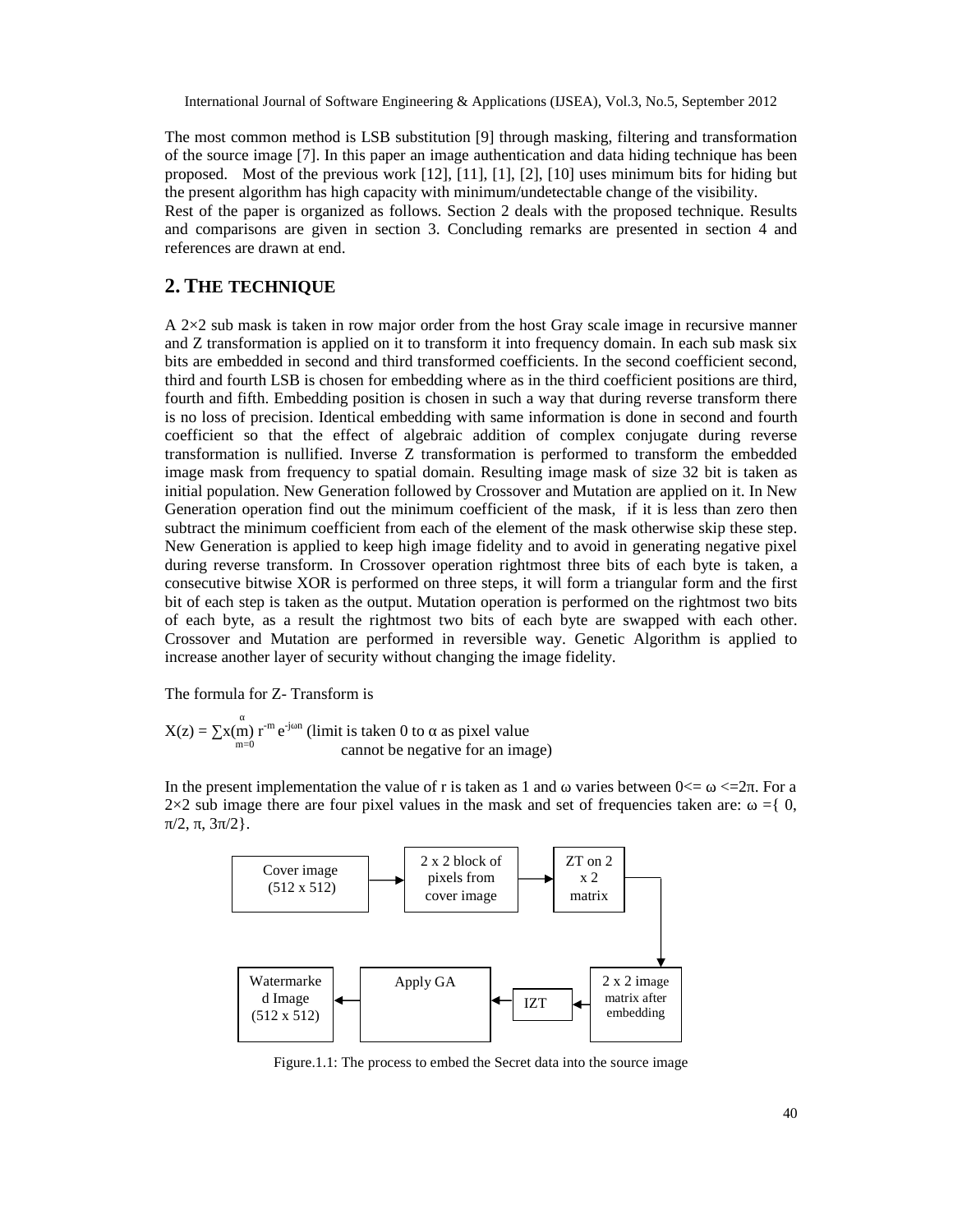The most common method is LSB substitution [9] through masking, filtering and transformation of the source image [7]. In this paper an image authentication and data hiding technique has been proposed. Most of the previous work [12], [11], [1], [2], [10] uses minimum bits for hiding but the present algorithm has high capacity with minimum/undetectable change of the visibility. Rest of the paper is organized as follows. Section 2 deals with the proposed technique. Results and comparisons are given in section 3. Concluding remarks are presented in section 4 and references are drawn at end.

# **2. THE TECHNIQUE**

 $A$  2 $\times$ 2 sub mask is taken in row major order from the host Gray scale image in recursive manner and Z transformation is applied on it to transform it into frequency domain. In each sub mask six bits are embedded in second and third transformed coefficients. In the second coefficient second, third and fourth LSB is chosen for embedding where as in the third coefficient positions are third, fourth and fifth. Embedding position is chosen in such a way that during reverse transform there is no loss of precision. Identical embedding with same information is done in second and fourth coefficient so that the effect of algebraic addition of complex conjugate during reverse transformation is nullified. Inverse Z transformation is performed to transform the embedded image mask from frequency to spatial domain. Resulting image mask of size 32 bit is taken as initial population. New Generation followed by Crossover and Mutation are applied on it. In New Generation operation find out the minimum coefficient of the mask, if it is less than zero then subtract the minimum coefficient from each of the element of the mask otherwise skip these step. New Generation is applied to keep high image fidelity and to avoid in generating negative pixel during reverse transform. In Crossover operation rightmost three bits of each byte is taken, a consecutive bitwise XOR is performed on three steps, it will form a triangular form and the first bit of each step is taken as the output. Mutation operation is performed on the rightmost two bits of each byte, as a result the rightmost two bits of each byte are swapped with each other. Crossover and Mutation are performed in reversible way. Genetic Algorithm is applied to increase another layer of security without changing the image fidelity.

The formula for Z- Transform is

 $X(z) = X(m) r<sup>-m</sup> e<sup>-j n</sup>$  (limit is taken 0 to as pixel value cannot be negative for an image)

In the present implementation the value of r is taken as 1 and varies between  $0 \leq -2$ . For a  $2\times2$  sub image there are four pixel values in the mask and set of frequencies taken are:  $=$  { 0,  $/2,$ ,  $3/2$ .



Figure.1.1: The process to embed the Secret data into the source image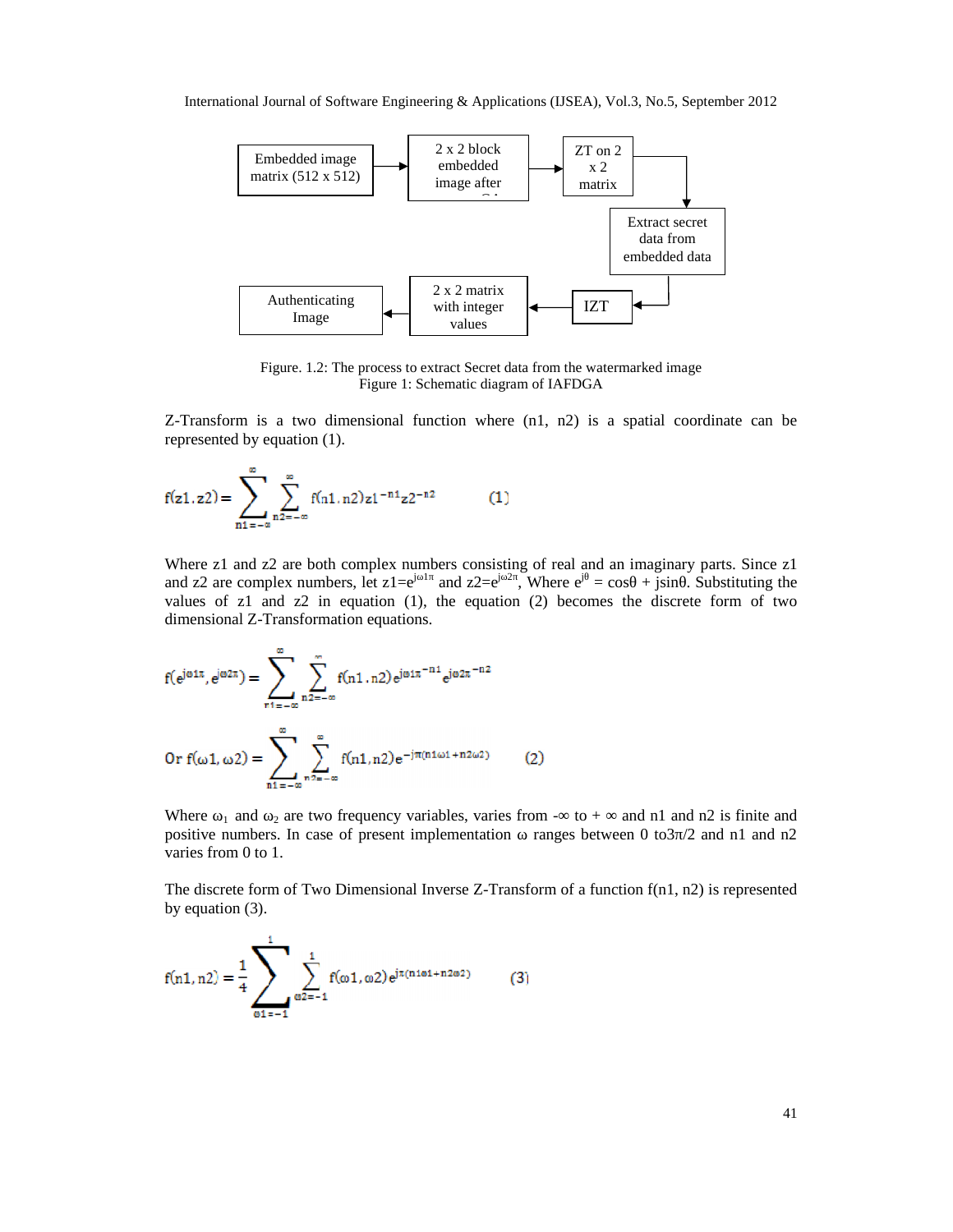

Figure. 1.2: The process to extract Secret data from the watermarked image Figure 1: Schematic diagram of IAFDGA

Z-Transform is a two dimensional function where (n1, n2) is a spatial coordinate can be represented by equation (1).

$$
f(z1, z2) = \sum_{n1 = -\infty}^{\infty} \sum_{n2 = -\infty}^{\infty} f(n1, n2)z1^{-n1}z2^{-n2}
$$
 (1)

Where z1 and z2 are both complex numbers consisting of real and an imaginary parts. Since z1 and z2 are complex numbers, let  $z1=e^{j-1}$  and  $z2=e^{j-2}$ , Where  $e^j = \cos + j\sin$ . Substituting the values of  $z1$  and  $z2$  in equation (1), the equation (2) becomes the discrete form of two dimensional Z-Transformation equations.

$$
f(e^{j\omega 1\pi}, e^{j\omega 2\pi}) = \sum_{n=1-\infty}^{\infty} \sum_{n=2-\infty}^{\infty} f(n1, n2) e^{j\omega 1\pi^{-n1}} e^{j\omega 2\pi^{-n2}}
$$
  
Or  $f(\omega 1, \omega 2) = \sum_{n=1-\infty}^{\infty} \sum_{n=2-\infty}^{\infty} f(n1, n2) e^{-j\pi(n1\omega 1 + n2\omega 2)}$  (2)

Where  $\frac{1}{4}$  and  $\frac{1}{2}$  are two frequency variables, varies from - to + and n1 and n2 is finite and positive numbers. In case of present implementation ranges between 0 to 3  $/2$  and n1 and n2 varies from 0 to 1.

The discrete form of Two Dimensional Inverse Z-Transform of a function f(n1, n2) is represented by equation (3).

$$
f(n1, n2) = \frac{1}{4} \sum_{\omega 1 = -1}^{1} \sum_{\omega 2 = -1}^{1} f(\omega 1, \omega 2) e^{j\pi(n1\omega 1 + n2\omega 2)}
$$
(3)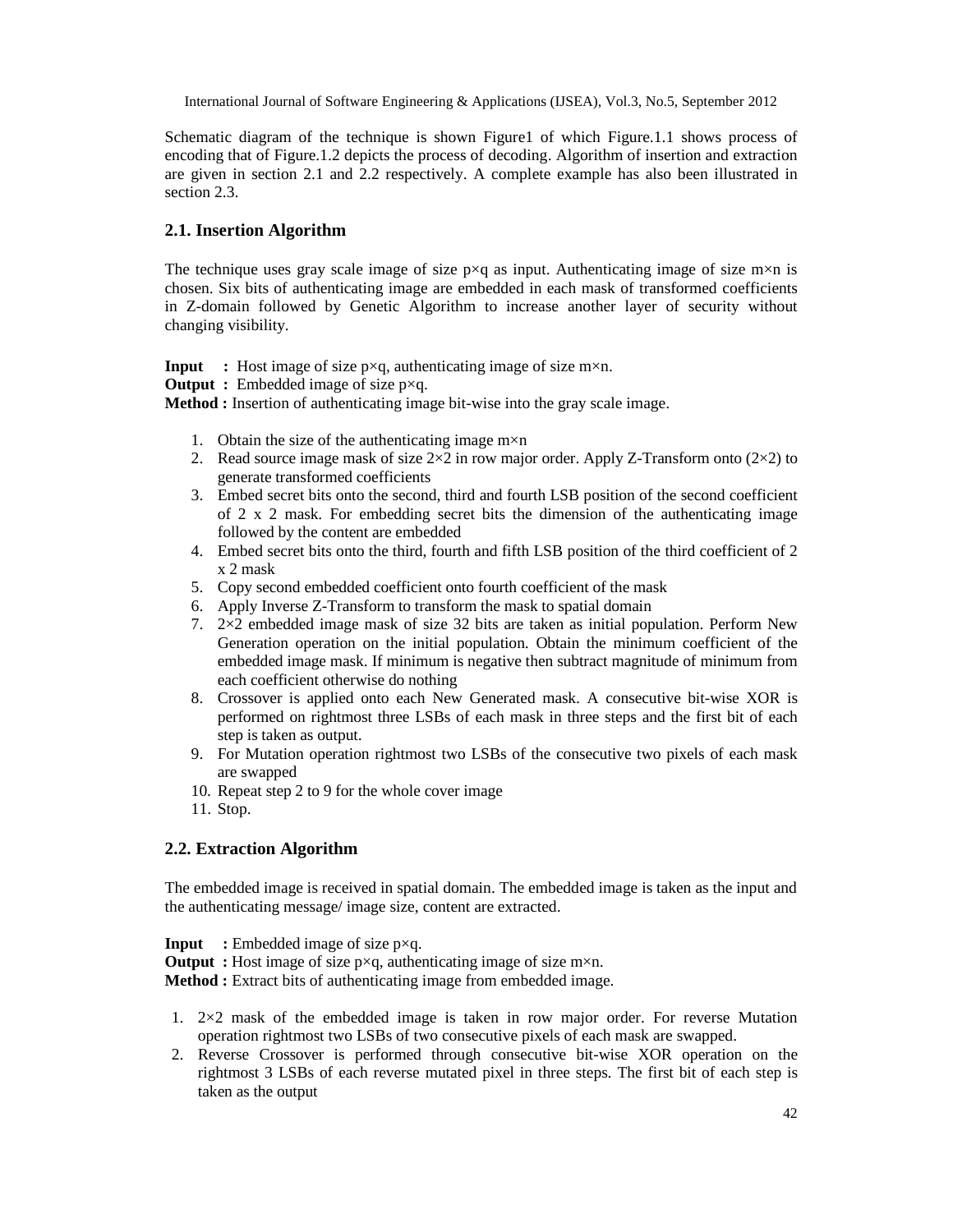Schematic diagram of the technique is shown Figure1 of which Figure.1.1 shows process of encoding that of Figure.1.2 depicts the process of decoding. Algorithm of insertion and extraction are given in section 2.1 and 2.2 respectively. A complete example has also been illustrated in section 2.3.

# **2.1. Insertion Algorithm**

The technique uses gray scale image of size  $p \times q$  as input. Authenticating image of size  $m \times n$  is chosen. Six bits of authenticating image are embedded in each mask of transformed coefficients in Z-domain followed by Genetic Algorithm to increase another layer of security without changing visibility.

**Input** : Host image of size p×q, authenticating image of size m×n.

**Output :** Embedded image of size p×q.

**Method :** Insertion of authenticating image bit-wise into the gray scale image.

- 1. Obtain the size of the authenticating image  $m \times n$
- 2. Read source image mask of size  $2\times 2$  in row major order. Apply Z-Transform onto ( $2\times 2$ ) to generate transformed coefficients
- 3. Embed secret bits onto the second, third and fourth LSB position of the second coefficient of 2 x 2 mask. For embedding secret bits the dimension of the authenticating image followed by the content are embedded
- 4. Embed secret bits onto the third, fourth and fifth LSB position of the third coefficient of 2 x 2 mask
- 5. Copy second embedded coefficient onto fourth coefficient of the mask
- 6. Apply Inverse Z-Transform to transform the mask to spatial domain
- 7.  $2\times2$  embedded image mask of size 32 bits are taken as initial population. Perform New Generation operation on the initial population. Obtain the minimum coefficient of the embedded image mask. If minimum is negative then subtract magnitude of minimum from each coefficient otherwise do nothing
- 8. Crossover is applied onto each New Generated mask. A consecutive bit-wise XOR is performed on rightmost three LSBs of each mask in three steps and the first bit of each step is taken as output.
- 9. For Mutation operation rightmost two LSBs of the consecutive two pixels of each mask are swapped
- 10. Repeat step 2 to 9 for the whole cover image
- 11. Stop.

# **2.2. Extraction Algorithm**

The embedded image is received in spatial domain. The embedded image is taken as the input and the authenticating message/ image size, content are extracted.

**Input** : Embedded image of size p×q.

**Output :** Host image of size p×q, authenticating image of size m×n.

**Method :** Extract bits of authenticating image from embedded image.

- 1. 2×2 mask of the embedded image is taken in row major order. For reverse Mutation operation rightmost two LSBs of two consecutive pixels of each mask are swapped.
- 2. Reverse Crossover is performed through consecutive bit-wise XOR operation on the rightmost 3 LSBs of each reverse mutated pixel in three steps. The first bit of each step is taken as the output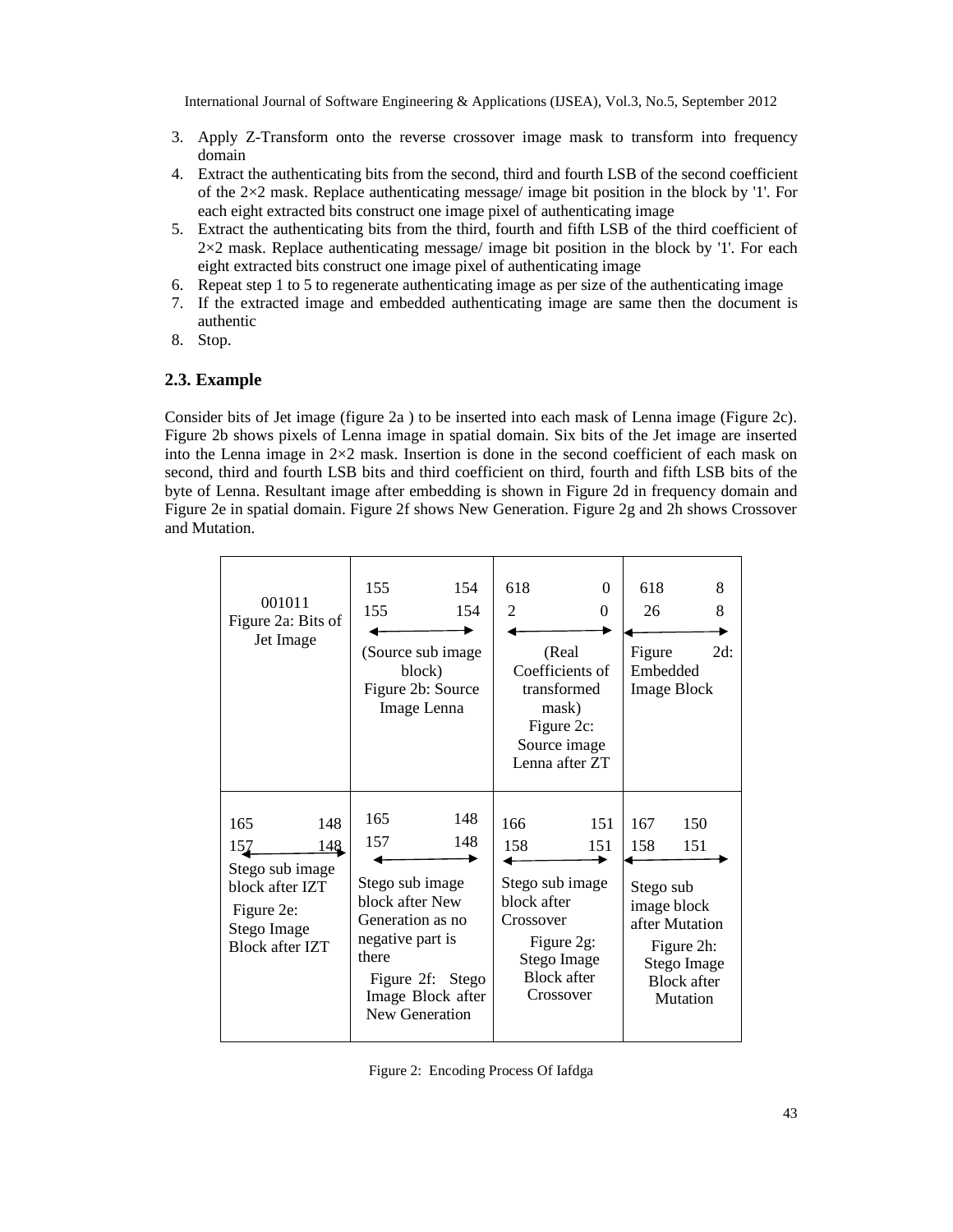- 3. Apply Z-Transform onto the reverse crossover image mask to transform into frequency domain
- 4. Extract the authenticating bits from the second, third and fourth LSB of the second coefficient of the  $2\times2$  mask. Replace authenticating message/ image bit position in the block by '1'. For each eight extracted bits construct one image pixel of authenticating image
- 5. Extract the authenticating bits from the third, fourth and fifth LSB of the third coefficient of 2×2 mask. Replace authenticating message/ image bit position in the block by '1'. For each eight extracted bits construct one image pixel of authenticating image
- 6. Repeat step 1 to 5 to regenerate authenticating image as per size of the authenticating image
- 7. If the extracted image and embedded authenticating image are same then the document is authentic
- 8. Stop.

#### **2.3. Example**

Consider bits of Jet image (figure 2a ) to be inserted into each mask of Lenna image (Figure 2c). Figure 2b shows pixels of Lenna image in spatial domain. Six bits of the Jet image are inserted into the Lenna image in  $2\times 2$  mask. Insertion is done in the second coefficient of each mask on second, third and fourth LSB bits and third coefficient on third, fourth and fifth LSB bits of the byte of Lenna. Resultant image after embedding is shown in Figure 2d in frequency domain and Figure 2e in spatial domain. Figure 2f shows New Generation. Figure 2g and 2h shows Crossover and Mutation.

| 001011<br>Figure 2a: Bits of<br>Jet Image                                                                             | 155<br>155<br>(Source sub image<br>block)<br>Figure 2b: Source<br>Image Lenna                                       | 154<br>154                                          | 618<br>2<br>transformed<br>mask)<br>Figure 2c:<br>Source image<br>Lenna after ZT                            | 0<br>0<br>(Real<br>Coefficients of | 618<br>26<br>Figure<br>Embedded        | 8<br>8<br>2d:<br><b>Image Block</b>                                                         |
|-----------------------------------------------------------------------------------------------------------------------|---------------------------------------------------------------------------------------------------------------------|-----------------------------------------------------|-------------------------------------------------------------------------------------------------------------|------------------------------------|----------------------------------------|---------------------------------------------------------------------------------------------|
| 165<br>148<br>148<br>157<br>Stego sub image<br>block after IZT<br>Figure 2e:<br>Stego Image<br><b>Block after IZT</b> | 165<br>157<br>Stego sub image<br>block after New<br>Generation as no<br>negative part is<br>there<br>New Generation | 148<br>148<br>Figure 2f: Stego<br>Image Block after | 166<br>158<br>Stego sub image<br>block after<br>Crossover<br>Stego Image<br><b>Block</b> after<br>Crossover | 151<br>151<br>Figure 2g:           | 167<br>158<br>Stego sub<br>image block | 150<br>151<br>after Mutation<br>Figure 2h:<br>Stego Image<br><b>Block</b> after<br>Mutation |

Figure 2: Encoding Process Of Iafdga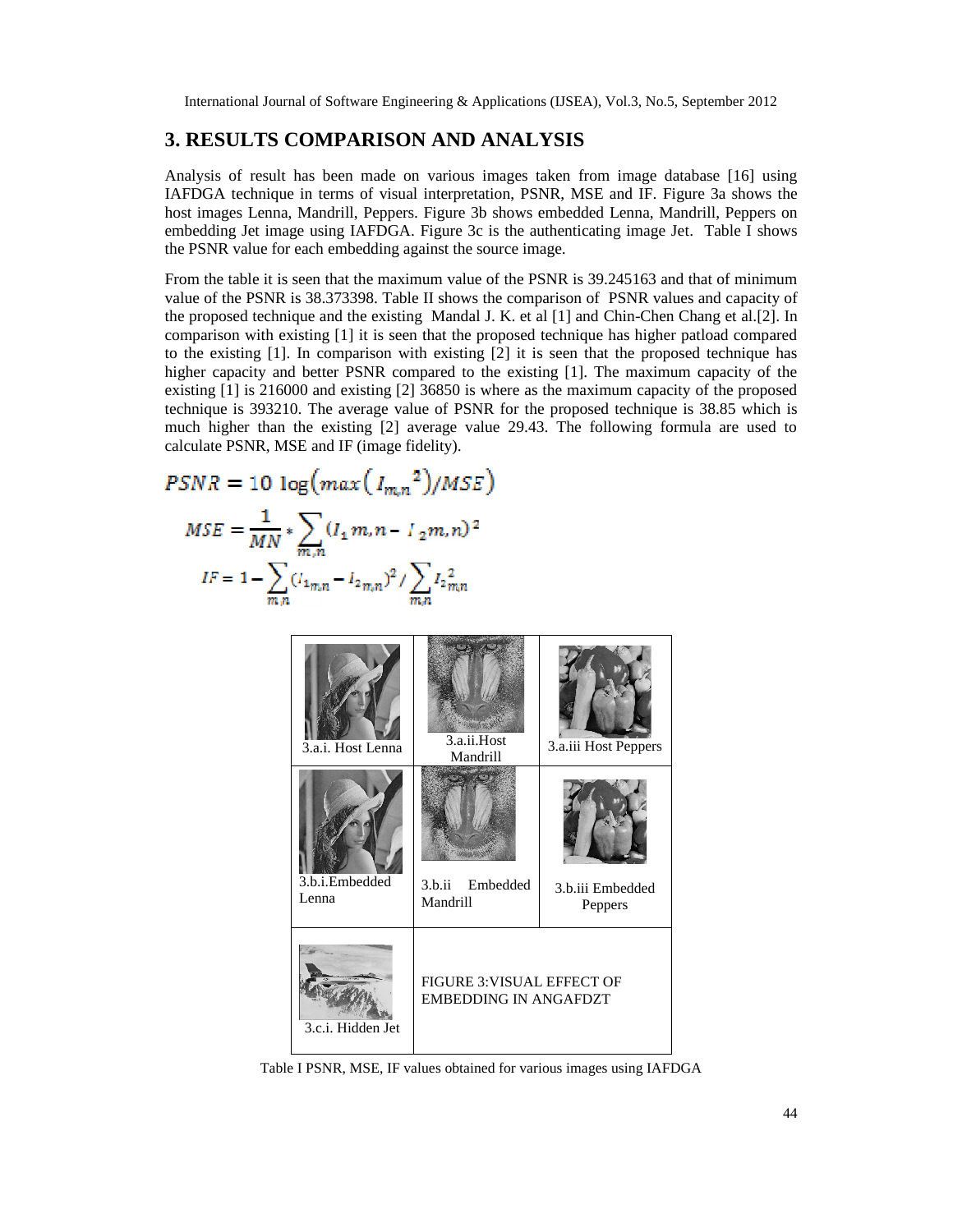# **3. RESULTS COMPARISON AND ANALYSIS**

Analysis of result has been made on various images taken from image database [16] using IAFDGA technique in terms of visual interpretation, PSNR, MSE and IF. Figure 3a shows the host images Lenna, Mandrill, Peppers. Figure 3b shows embedded Lenna, Mandrill, Peppers on embedding Jet image using IAFDGA. Figure 3c is the authenticating image Jet. Table I shows the PSNR value for each embedding against the source image.

From the table it is seen that the maximum value of the PSNR is 39.245163 and that of minimum value of the PSNR is 38.373398. Table II shows the comparison of PSNR values and capacity of the proposed technique and the existing Mandal J. K. et al [1] and Chin-Chen Chang et al.[2]. In comparison with existing [1] it is seen that the proposed technique has higher patload compared to the existing [1]. In comparison with existing [2] it is seen that the proposed technique has higher capacity and better PSNR compared to the existing [1]. The maximum capacity of the existing [1] is 216000 and existing [2] 36850 is where as the maximum capacity of the proposed technique is 393210. The average value of PSNR for the proposed technique is 38.85 which is much higher than the existing [2] average value 29.43. The following formula are used to calculate PSNR, MSE and IF (image fidelity).

$$
PSNR = 10 \log(max(I_{m,n}^2)/MSE)
$$

$$
MSE = \frac{1}{MN} * \sum_{m,n} (I_1 m, n - I_2 m, n)^2
$$
  

$$
IF = 1 - \sum_{m,n} (I_{1m,n} - I_{2m,n})^2 / \sum_{m,n} I_{2m,n}
$$



Table I PSNR, MSE, IF values obtained for various images using IAFDGA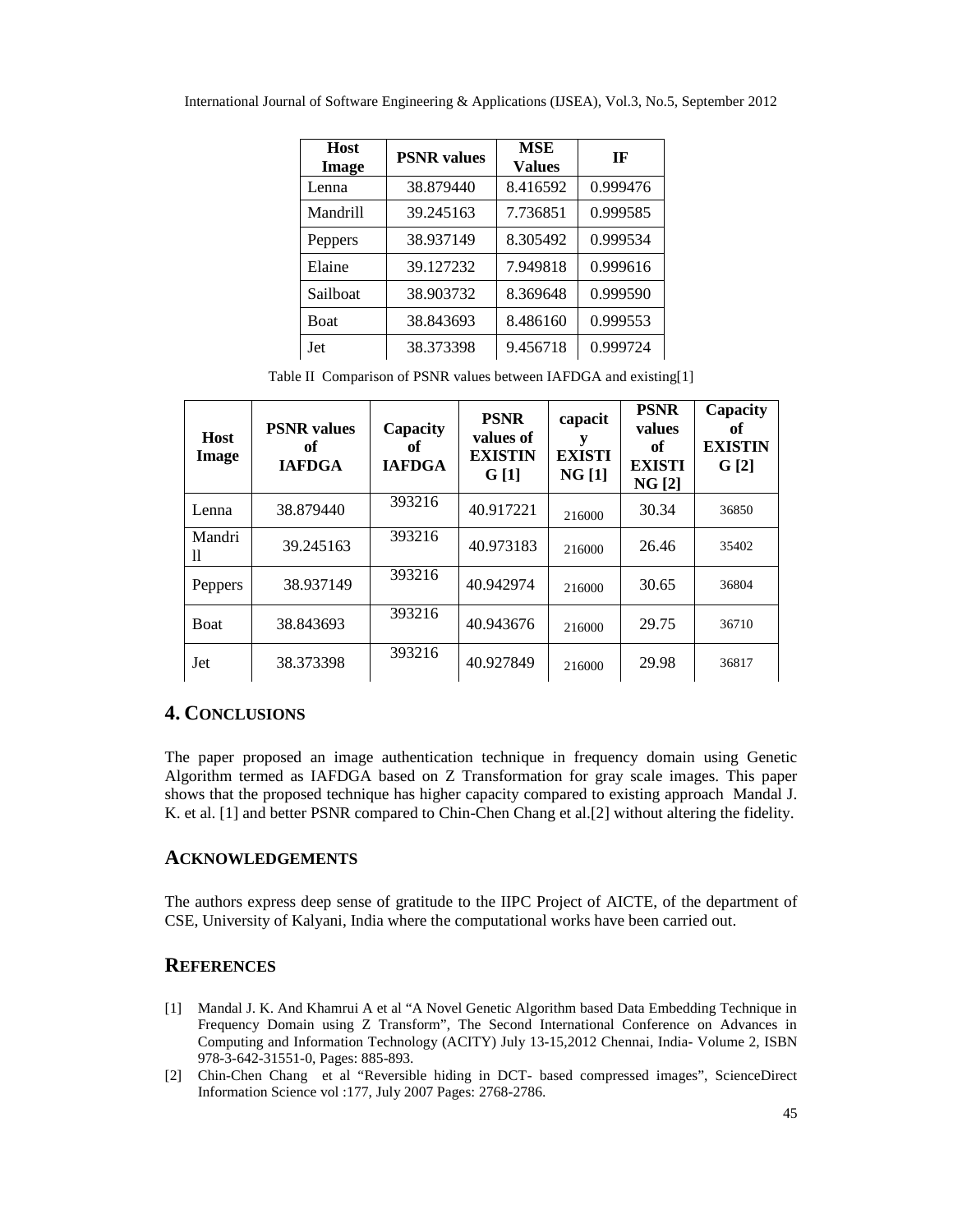| Host<br>Image | <b>PSNR</b> values | <b>MSE</b><br><b>Values</b> | TF       |  |
|---------------|--------------------|-----------------------------|----------|--|
| Lenna         | 38.879440          | 8.416592                    | 0.999476 |  |
| Mandrill      | 39.245163          | 7.736851                    | 0.999585 |  |
| Peppers       | 38.937149          | 8.305492                    | 0.999534 |  |
| Elaine        | 39.127232          | 7.949818                    | 0.999616 |  |
| Sailboat      | 38.903732          | 8.369648                    | 0.999590 |  |
| <b>Boat</b>   | 38.843693          | 8.486160                    | 0.999553 |  |
| Jet           | 38.373398          | 9.456718                    | 0.999724 |  |

Table II Comparison of PSNR values between IAFDGA and existing[1]

| Host<br>Image | <b>PSNR</b> values<br>оť<br><b>IAFDGA</b> | Capacity<br>оf<br><b>IAFDGA</b> | <b>PSNR</b><br>values of<br><b>EXISTIN</b><br>G[1] | capacit<br>у<br><b>EXISTI</b><br>NG <sub>[1]</sub> | <b>PSNR</b><br>values<br>оf<br><b>EXISTI</b><br>NG[2] | Capacity<br>of<br><b>EXISTIN</b><br>G[2] |
|---------------|-------------------------------------------|---------------------------------|----------------------------------------------------|----------------------------------------------------|-------------------------------------------------------|------------------------------------------|
| Lenna         | 38.879440                                 | 393216                          | 40.917221                                          | 216000                                             | 30.34                                                 | 36850                                    |
| Mandri<br>11  | 39.245163                                 | 393216                          | 40.973183                                          | 216000                                             | 26.46                                                 | 35402                                    |
| Peppers       | 38.937149                                 | 393216                          | 40.942974                                          | 216000                                             | 30.65                                                 | 36804                                    |
| <b>B</b> oat  | 38.843693                                 | 393216                          | 40.943676                                          | 216000                                             | 29.75                                                 | 36710                                    |
| Jet           | 38.373398                                 | 393216                          | 40.927849                                          | 216000                                             | 29.98                                                 | 36817                                    |

# **4. CONCLUSIONS**

The paper proposed an image authentication technique in frequency domain using Genetic Algorithm termed as IAFDGA based on Z Transformation for gray scale images. This paper shows that the proposed technique has higher capacity compared to existing approach Mandal J. K. et al. [1] and better PSNR compared to Chin-Chen Chang et al.[2] without altering the fidelity.

#### **ACKNOWLEDGEMENTS**

The authors express deep sense of gratitude to the IIPC Project of AICTE, of the department of CSE, University of Kalyani, India where the computational works have been carried out.

# **REFERENCES**

- [1] Mandal J. K. And Khamrui A et al "A Novel Genetic Algorithm based Data Embedding Technique in Frequency Domain using Z Transform", The Second International Conference on Advances in Computing and Information Technology (ACITY) July 13-15,2012 Chennai, India- Volume 2, ISBN 978-3-642-31551-0, Pages: 885-893.
- [2] Chin-Chen Chang et al "Reversible hiding in DCT- based compressed images", ScienceDirect Information Science vol :177, July 2007 Pages: 2768-2786.